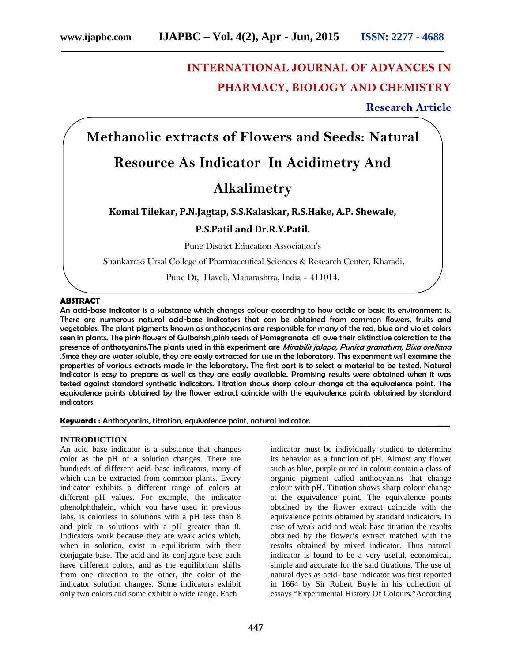# **INTERNATIONAL JOURNAL OF ADVANCES IN PHARMACY, BIOLOGY AND CHEMISTRY**

## **Research Article**

**Methanolic extracts of Flowers and Seeds: Natural**

## **Resource As Indicator In Acidimetry And**

## **Alkalimetry**

### **Komal Tilekar, P.N.Jagtap, S.S.Kalaskar, R.S.Hake, A.P. Shewale,**

## **P.S.Patil and Dr.R.Y.Patil.**

Pune District Education Association's

Shankarrao Ursal College of Pharmaceutical Sciences & Research Center, Kharadi,

Pune Dt, Haveli, Maharashtra, India – 411014.

#### **ABSTRACT**

An acid-base indicator is a substance which changes colour according to how acidic or basic its environment is. There are numerous natural acid-base indicators that can be obtained from common flowers, fruits and vegetables. The plant pigments known as anthocyanins are responsible for many of the red, blue and violet colors seen in plants. The pink flowers of Gulbakshi,pink seeds of Pomegranate all owe their distinctive coloration to the presence of anthocyanins.The plants used in this experiment are *Mirabilis jalapa, Punica granatum, Bixa orellana* .Since they are water soluble, they are easily extracted for use in the laboratory. This experiment will examine the properties of various extracts made in the laboratory. The first part is to select a material to be tested. Natural indicator is easy to prepare as well as they are easily available. Promising results were obtained when it was tested against standard synthetic indicators. Titration shows sharp colour change at the equivalence point. The equivalence points obtained by the flower extract coincide with the equivalence points obtained by standard indicators.

**Keywords :** Anthocyanins, titration, equivalence point, natural indicator.

#### **INTRODUCTION**

An acid–base indicator is a substance that changes color as the pH of a solution changes. There are hundreds of different acid–base indicators, many of which can be extracted from common plants. Every indicator exhibits a different range of colors at different pH values. For example, the indicator phenolphthalein, which you have used in previous labs, is colorless in solutions with a pH less than 8 and pink in solutions with a pH greater than 8. Indicators work because they are weak acids which, when in solution, exist in equilibrium with their conjugate base. The acid and its conjugate base each have different colors, and as the equilibrium shifts from one direction to the other, the color of the indicator solution changes. Some indicators exhibit only two colors and some exhibit a wide range. Each

indicator must be individually studied to determine its behavior as a function of pH. Almost any flower such as blue, purple or red in colour contain a class of organic pigment called anthocyanins that change colour with pH. Titration shows sharp colour change at the equivalence point. The equivalence points obtained by the flower extract coincide with the equivalence points obtained by standard indicators. In case of weak acid and weak base titration the results obtained by the flower's extract matched with the results obtained by mixed indicator. Thus natural indicator is found to be a very useful, economical, simple and accurate for the said titrations. The use of natural dyes as acid- base indicator was first reported in 1664 by Sir Robert Boyle in his collection of essays "Experimental History Of Colours."According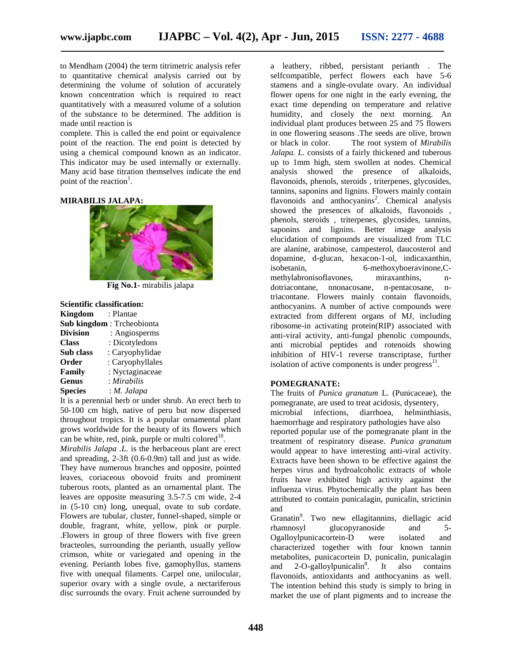to Mendham (2004) the term titrimetric analysis refer to quantitative chemical analysis carried out by determining the volume of solution of accurately known concentration which is required to react quantitatively with a measured volume of a solution of the substance to be determined. The addition is made until reaction is

complete. This is called the end point or equivalence point of the reaction. The end point is detected by or black in color. using a chemical compound known as an indicator. This indicator may be used internally or externally. Many acid base titration themselves indicate the end point of the reaction<sup>1</sup>.

#### **MIRABILIS JALAPA:**



**Fig No.1-** mirabilis jalapa

## **Scientific classification:**

| <b>Kingdom</b>  | : Plantae                 |
|-----------------|---------------------------|
|                 | Sub kingdom: Trcheobionta |
| <b>Division</b> | : Angiosperms             |
| <b>Class</b>    | : Dicotyledons            |
| Sub class       | : Caryophylidae           |
| Order           | : Caryophyllales          |
| <b>Family</b>   | : Nyctaginaceae           |
| Genus           | : Mirabilis               |
| <b>Species</b>  | : M. Jalapa               |

It is a perennial herb or under shrub. An erect herb to 50-100 cm high, native of peru but now dispersed throughout tropics. It is a popular ornamental plant grows worldwide for the beauty of its flowers which can be white, red, pink, purple or multi colored $10$ .

*Mirabilis Jalapa .L.* is the herbaceous plant are erect and spreading, 2-3ft (0.6-0.9m) tall and just as wide. They have numerous branches and opposite, pointed leaves, coriaceous obovoid fruits and prominent tuberous roots, planted as an ornamental plant. The leaves are opposite measuring 3.5-7.5 cm wide, 2-4 in (5-10 cm) long, unequal, ovate to sub cordate. Flowers are tubular, cluster, funnel-shaped, simple or double, fragrant, white, yellow, pink or purple. .Flowers in group of three flowers with five green bracteoles, surrounding the perianth, usually yellow crimson, white or variegated and opening in the evening. Perianth lobes five, gamophyllus, stamens five with unequal filaments. Carpel one, unilocular, superior ovary with a single ovule, a nectariferous disc surrounds the ovary. Fruit achene surrounded by

a leathery, ribbed, persistant perianth . The selfcompatible, perfect flowers each have 5-6 stamens and a single-ovulate ovary. An individual flower opens for one night in the early evening, the exact time depending on temperature and relative humidity, and closely the next morning. An individual plant produces between 25 and 75 flowers in one flowering seasons .The seeds are olive, brown The root system of *Mirabilis Jalapa. L.* consists of a fairly thickened and tuberous up to 1mm high, stem swollen at nodes. Chemical analysis showed the presence of alkaloids, flavonoids, phenols, steroids , triterpenes, glycosides, tannins, saponins and lignins. Flowers mainly contain flavonoids and anthocyanins<sup>2</sup>. Chemical analysis showed the presences of alkaloids, flavonoids , phenols, steroids , triterpenes, glycosides, tannins, saponins and lignins. Better image analysis elucidation of compounds are visualized from TLC are alanine, arabinose, campesterol, daucosterol and dopamine, d-glucan, hexacon-1-ol, indicaxanthin, isobetanin, 6-methoxyboeravinone, Cmethylabronisoflavones, miraxanthins, n dotriacontane, nnonacosane, n-pentacosane, ntriacontane. Flowers mainly contain flavonoids, anthocyanins. A number of active compounds were extracted from different organs of MJ, including ribosome-in activating protein(RIP) associated with anti-viral activity, anti-fungal phenolic compounds, anti microbial peptides and rotenoids showing inhibition of HIV-1 reverse transcriptase, further isolation of active components is under  $\frac{1}{2}$  progress<sup>11</sup>.

#### **POMEGRANATE:**

The fruits of *Punica granatum* L. (Punicaceae), the pomegranate, are used to treat acidosis, dysentery, microbial infections, diarrhoea, helminthiasis, haemorrhage and respiratory pathologies have also reported popular use of the pomegranate plant in the treatment of respiratory disease. *Punica granatum* would appear to have interesting anti-viral activity. Extracts have been shown to be effective against the herpes virus and hydroalcoholic extracts of whole fruits have exhibited high activity against the influenza virus. Phytochemically the plant has been attributed to contain punicalagin, punicalin, strictinin and

Granatin<sup>9</sup> . Two new ellagitannins, diellagic acid rhamnosyl glucopyranoside and 5- Ogalloylpunicacortein-D were isolated and characterized together with four known tannin metabolites, punicacortein D, punicalin, punicalagin and  $2$ -O-galloylpunicalin<sup>8</sup>. It also contains flavonoids, antioxidants and anthocyanins as well. The intention behind this study is simply to bring in market the use of plant pigments and to increase the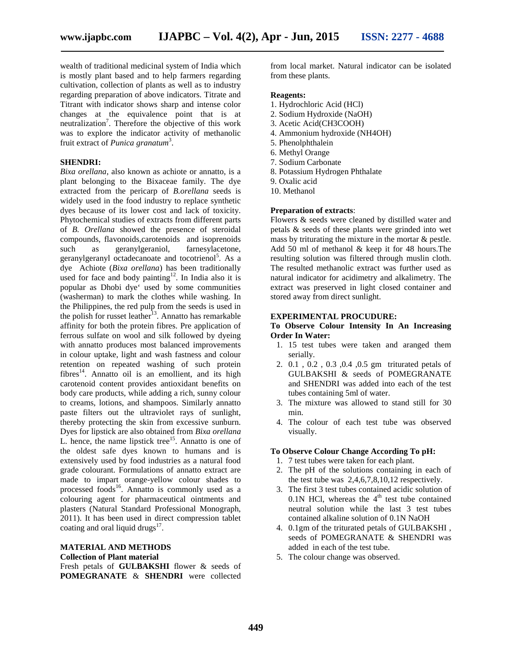wealth of traditional medicinal system of India which is mostly plant based and to help farmers regarding cultivation, collection of plants as well as to industry regarding preparation of above indicators. Titrate and Titrant with indicator shows sharp and intense color changes at the equivalence point that is at neutralization<sup>7</sup>. Therefore the objective of this work was to explore the indicator activity of methanolic fruit extract of *Punica granatum*<sup>3</sup> .

#### **SHENDRI:**

*Bixa orellana*, also known as achiote or annatto, is a plant belonging to the Bixaceae family. The dye extracted from the pericarp of *B.orellana* seeds is widely used in the food industry to replace synthetic dyes because of its lower cost and lack of toxicity. Phytochemical studies of extracts from different parts of *B. Orellana* showed the presence of steroidal compounds, flavonoids,carotenoids and isoprenoids such as geranylgeraniol, farnesylacetone, geranylgeranyl octadecanoate and tocotrienol<sup>5</sup>. As a dye Achiote (*Bixa orellana*) has been traditionally used for face and body painting<sup>12</sup>. In India also it is popular as Dhobi dye' used by some communities (washerman) to mark the clothes while washing. In the Philippines, the red pulp from the seeds is used in the polish for russet leather<sup>13</sup>. Annatto has remarkable affinity for both the protein fibres. Pre application of ferrous sulfate on wool and silk followed by dyeing with annatto produces most balanced improvements in colour uptake, light and wash fastness and colour retention on repeated washing of such protein  $fibres<sup>14</sup>$ . Annatto oil is an emollient, and its high carotenoid content provides antioxidant benefits on body care products, while adding a rich, sunny colour to creams, lotions, and shampoos. Similarly annatto paste filters out the ultraviolet rays of sunlight, thereby protecting the skin from excessive sunburn. Dyes for lipstick are also obtained from *Bixa orellana* L. hence, the name lipstick tree<sup>15</sup>. Annatto is one of the oldest safe dyes known to humans and is extensively used by food industries as a natural food grade colourant. Formulations of annatto extract are made to impart orange-yellow colour shades to processed foods<sup>16</sup>. Annatto is commonly used as a colouring agent for pharmaceutical ointments and plasters (Natural Standard Professional Monograph, 2011). It has been used in direct compression tablet coating and oral liquid drugs<sup>17</sup>.

#### **MATERIAL AND METHODS**

#### **Collection of Plant material**

Fresh petals of **GULBAKSHI** flower & seeds of **POMEGRANATE** & **SHENDRI** were collected

from local market. Natural indicator can be isolated from these plants.

#### **Reagents:**

- 1. Hydrochloric Acid (HCl)
- 2. Sodium Hydroxide (NaOH)
- 3. Acetic Acid(CH3COOH)
- 4. Ammonium hydroxide (NH4OH)
- 5. Phenolphthalein
- 6. Methyl Orange
- 7. Sodium Carbonate
- 8. Potassium Hydrogen Phthalate
- 9. Oxalic acid
- 10. Methanol

#### **Preparation of extracts**:

Flowers & seeds were cleaned by distilled water and petals & seeds of these plants were grinded into wet mass by triturating the mixture in the mortar & pestle. Add 50 ml of methanol & keep it for 48 hours.The resulting solution was filtered through muslin cloth. The resulted methanolic extract was further used as natural indicator for acidimetry and alkalimetry. The extract was preserved in light closed container and stored away from direct sunlight.

#### **EXPERIMENTAL PROCUDURE:**

#### **To Observe Colour Intensity In An Increasing Order In Water:**

- 1. 15 test tubes were taken and aranged them serially.
- 2. 0.1 , 0.2 , 0.3 ,0.4 ,0.5 gm triturated petals of GULBAKSHI & seeds of POMEGRANATE and SHENDRI was added into each of the test tubes containing 5ml of water.
- 3. The mixture was allowed to stand still for 30 min.
- 4. The colour of each test tube was observed visually.

#### **To Observe Colour Change According To pH:**

- 1. 7 test tubes were taken for each plant.
- 2. The pH of the solutions containing in each of the test tube was 2,4,6,7,8,10,12 respectively.
- 3. The first 3 test tubes contained acidic solution of  $0.1N$  HCl, whereas the  $4<sup>th</sup>$  test tube contained neutral solution while the last 3 test tubes contained alkaline solution of 0.1N NaOH
- 4. 0.1gm of the triturated petals of GULBAKSHI , seeds of POMEGRANATE & SHENDRI was added in each of the test tube.
- 5. The colour change was observed.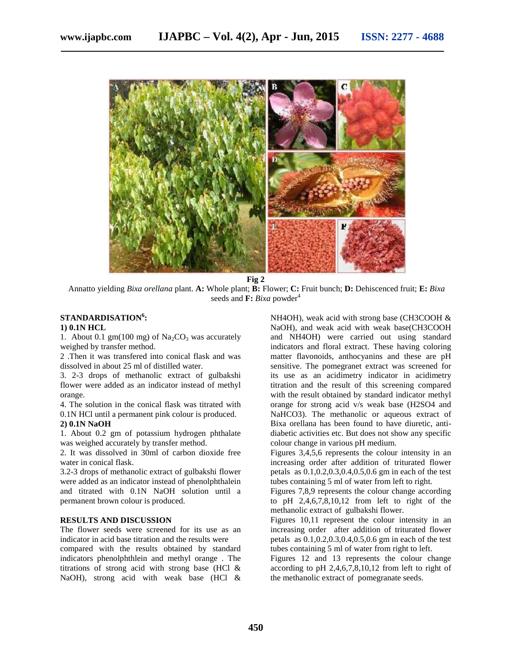

**Fig 2**

Annatto yielding *Bixa orellana* plant. **A:** Whole plant; **B:** Flower; **C:** Fruit bunch; **D:** Dehiscenced fruit; **E:** *Bixa* seeds and  $\mathbf{F}$ : *Bixa* powder<sup>4</sup>

## **STANDARDISATION<sup>6</sup>:**

### **1) 0.1N HCL**

1. About 0.1 gm(100 mg) of  $Na<sub>2</sub>CO<sub>3</sub>$  was accurately weighed by transfer method.

2 .Then it was transfered into conical flask and was dissolved in about 25 ml of distilled water.

3. 2-3 drops of methanolic extract of gulbakshi flower were added as an indicator instead of methyl orange.

4. The solution in the conical flask was titrated with 0.1N HCl until a permanent pink colour is produced.

#### **2) 0.1N NaOH**

1. About 0.2 gm of potassium hydrogen phthalate was weighed accurately by transfer method.

2. It was dissolved in 30ml of carbon dioxide free water in conical flask.

3.2-3 drops of methanolic extract of gulbakshi flower were added as an indicator instead of phenolphthalein and titrated with 0.1N NaOH solution until a permanent brown colour is produced.

### **RESULTS AND DISCUSSION**

The flower seeds were screened for its use as an indicator in acid base titration and the results were compared with the results obtained by standard indicators phenolphthlein and methyl orange . The titrations of strong acid with strong base (HCl & NaOH), strong acid with weak base (HCl &

NH4OH), weak acid with strong base (CH3COOH & NaOH), and weak acid with weak base(CH3COOH and NH4OH) were carried out using standard indicators and floral extract. These having coloring matter flavonoids, anthocyanins and these are pH sensitive. The pomegranet extract was screened for its use as an acidimetry indicator in acidimetry titration and the result of this screening compared with the result obtained by standard indicator methyl orange for strong acid v/s weak base (H2SO4 and NaHCO3). The methanolic or aqueous extract of Bixa orellana has been found to have diuretic, anti diabetic activities etc. But does not show any specific colour change in various pH medium.

Figures 3,4,5,6 represents the colour intensity in an increasing order after addition of triturated flower petals as 0.1,0.2,0.3,0.4,0.5,0.6 gm in each of the test tubes containing 5 ml of water from left to right.

Figures 7,8,9 represents the colour change according to pH 2,4,6,7,8,10,12 from left to right of the methanolic extract of gulbakshi flower.

Figures 10,11 represent the colour intensity in an increasing order after addition of triturated flower petals as 0.1,0.2,0.3,0.4,0.5,0.6 gm in each of the test tubes containing 5 ml of water from right to left.

Figures 12 and 13 represents the colour change according to pH 2,4,6,7,8,10,12 from left to right of the methanolic extract of pomegranate seeds.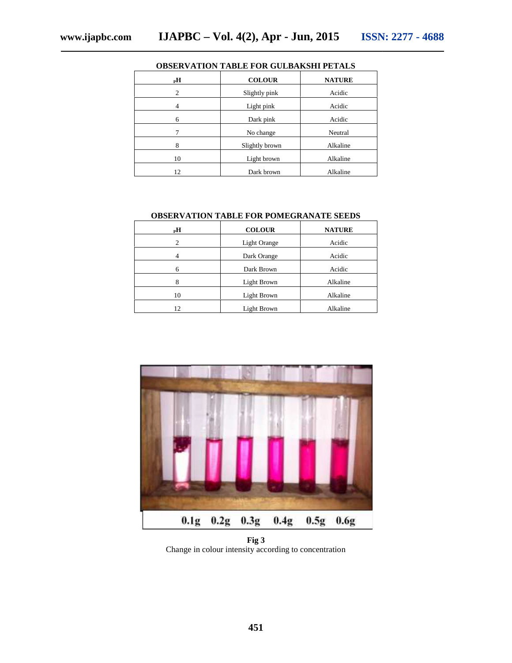| ODSER VATION TADLE FOR GULDARSIII I ETALS |                |               |  |
|-------------------------------------------|----------------|---------------|--|
| $_{\rm p}$ H                              | <b>COLOUR</b>  | <b>NATURE</b> |  |
| $\overline{c}$                            | Slightly pink  | Acidic        |  |
| 4                                         | Light pink     | Acidic        |  |
| 6                                         | Dark pink      | Acidic        |  |
| 7                                         | No change      | Neutral       |  |
| 8                                         | Slightly brown | Alkaline      |  |
| 10                                        | Light brown    | Alkaline      |  |
| 12                                        | Dark brown     | Alkaline      |  |

## **OBSERVATION TABLE FOR GULBAKSHI PETALS**

#### **OBSERVATION TABLE FOR POMEGRANATE SEEDS SEEDS**

| $_{\rm P}$ H | <b>COLOUR</b> | <b>NATURE</b> |
|--------------|---------------|---------------|
| 2            | Light Orange  | Acidic        |
| 4            | Dark Orange   | Acidic        |
| 6            | Dark Brown    | Acidic        |
| 8            | Light Brown   | Alkaline      |
| 10           | Light Brown   | Alkaline      |
| 12           | Light Brown   | Alkaline      |



**Fig 3** Change in colour intensity according to concentration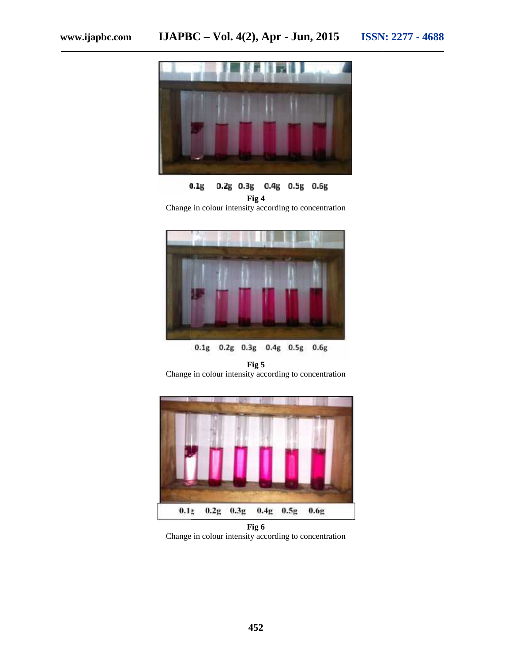

 $0.1g$ 0.2g 0.3g 0.4g 0.5g 0.6g **Fig 4**

Change in colour intensity according to concentration



**Fig 5** Change in colour intensity according to concentration



**Fig 6** Change in colour intensity according to concentration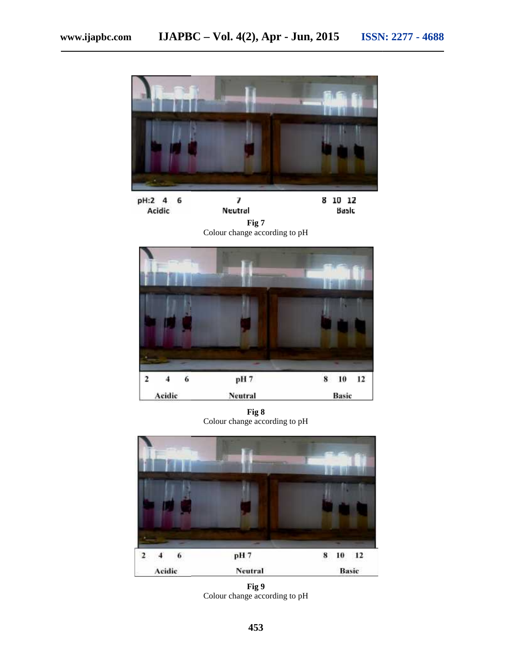

pH:2 4 7 8 10 12 6 Neutral Acidic Basic

**Fig 7** Colour change according to pH



**Fig 8** Colour change according to pH



**Fig 9** Colour change according to pH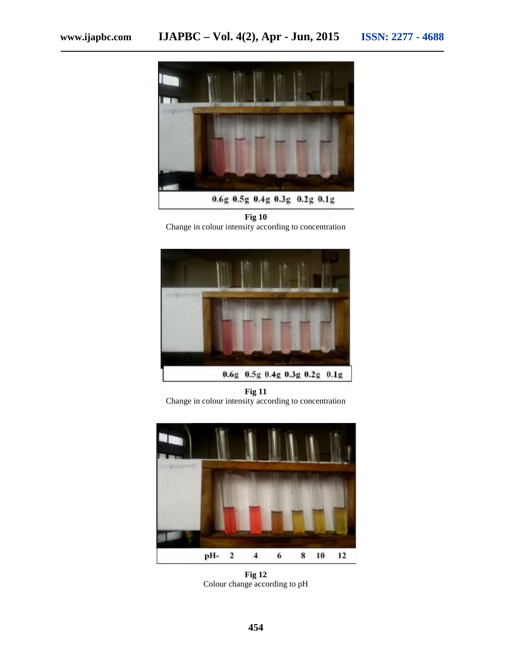

**Fig 10** Change in colour intensity according to concentration



**Fig 11** Change in colour intensity according to concentration



**Fig 12** Colour change according to pH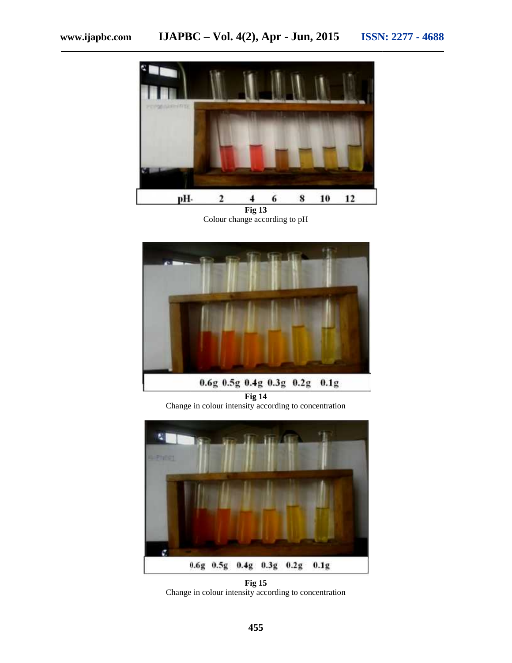

**Fig 13** Colour change according to pH



**Fig 14** Change in colour intensity according to concentration



**Fig 15** Change in colour intensity according to concentration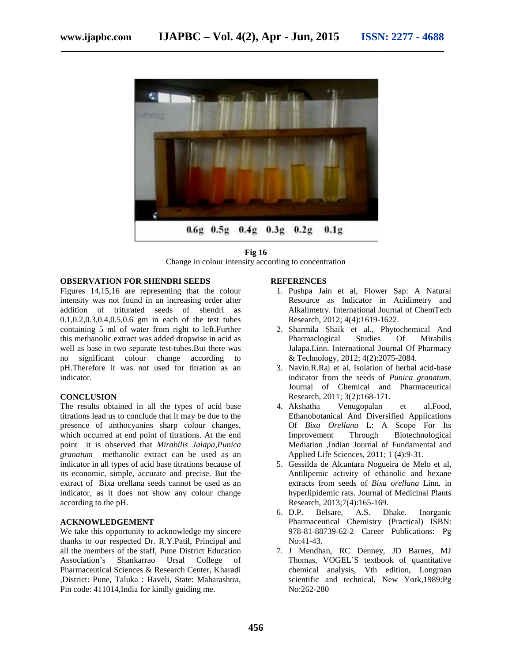

**Fig 16** Change in colour intensity according to concentration

#### **OBSERVATION FOR SHENDRI SEEDS**

Figures 14,15,16 are representing that the colour intensity was not found in an increasing order after addition of triturated seeds of shendri as 0.1,0.2,0.3,0.4,0.5,0.6 gm in each of the test tubes containing 5 ml of water from right to left.Further this methanolic extract was added dropwise in acid as well as base in two separate test-tubes.But there was no significant colour change according to pH.Therefore it was not used for titration as an indicator. Change in colour intensity active **SHENDRI SEEDS**<br>
15,15,16 are representing that the colour<br>
16 and the colour<br>
16 and in an increasing order after<br>
16 of the shendri as<br>
16.4,0.5,0.6 gm in each of the test tubes containing 5 ml of water from right to left.Furth<br>this methanolic extract was added dropwise in acid<br>well as base in two separate test-tubes.But there w<br>no significant colour change according<br>pH.Therefore it was not used f

#### **CONCLUSION**

The results obtained in all the types of acid base titrations lead us to conclude that it may be due to the presence of anthocyanins sharp colour changes, which occurred at end point of titrations. At the end point it is observed that *Mirabilis Jalapa*,*Punica granatum* methanolic extract can be used as an indicator in all types of acid base titrations because of its economic, simple, accurate and precise. But the extract of Bixa orellana seeds cannot be used as an extract of Bixa orellana seeds cannot be used as an indicator, as it does not show any colour change according to the pH. f anthocyanins sharp colour changes,<br>red at end point of titrations. At the end<br>observed that *Mirabilis Jalapa*, *Punica*<br>methanolic extract can be used as an<br>all types of acid base titrations because of

#### **ACKNOWLEDGEMENT**

We take this opportunity to acknowledge my sincere thanks to our respected Dr. R.Y.Patil, Principal and all the members of the staff, Pune District Education Association's Shankarrao Ursal Pharmaceutical Sciences & Research Center, Kharadi ,District: Pune, Taluka : Haveli, State: Maharashtra, : Pin code: 411014,India for kindly guiding me. College of

#### **REFERENCES**

- 1. Pushpa Jain et al, Flower Sap: A Natural Resource as Indicator in Acidimetry and Alkalimetry. International Journal of ChemTech Research, 2012; 4(4):1619-1622.
- 2. Sharmila Shaik et al., Phytochemical And Pharmaclogical Studies Of Mirabilis Jalapa.Linn. International Journal Of Pharmacy & Technology, 2012; 4(2):2075-2084.
- 3. Navin.R.Raj et al, Isolation of herbal acid-base indicator from the seeds of *Punica granatum.* Journal of Chemical and Pharmaceutical Research, 2011; 3(2):168-171. 2011; & Technology, 2012; 4(2):2075-2084.<br>Navin.R.Raj et al, Isolation of herbal<br>indicator from the seeds of *Punica*
- 4. Akshatha Venugopalan et al,Food, Ethanobotanical And Diversified Applications Of *Bixa Orellana* L: A Scope For Its *Orellana*Improvement Through Biotechnological Mediation ,Indian Journal of Fundamental and Applied Life Sciences, 2011; 1 (4):9-31. me that colour and all Fluxiver Sape Jaim and the colour Sape A Natural<br>mereasing order after Resource as Indicator in Acidimetry and<br>ds of shendri as Alkalimetry, International Journal of ChemTech<br>acach of the test tubes Journal of Fu<br>ces, 2011; 1 (4<br>ara Nogueira Change in colour intensity according to concentration<br>
IDRI SEEDS<br>
INSIGENTS REFERENCES<br>
Increasing order after<br>
Increasing order after<br>
Resource as Indicator in Acidimetry and<br>
Increasing order after<br>
Resource as Indicat
	- 5. Gessilda de Alcantara Nogueira de Melo et al, Antilipemic activity of ethanolic and hexane extracts from seeds of *Bixa orellana* Linn*.* in *orellana* hyperlipidemic rats. Journal of Medicinal Plants Research, 2013;7(4):165-169.<br>D.P. Belsare, A.S. D.
	- 6. D.P. Belsare, A.S. Dhake. Inorganic hyperlipidemic rats. Journal of Medicinal Plants<br>Research, 2013;7(4):165-169.<br>D.P. Belsare, A.S. Dhake. Inorganic<br>Pharmaceutical Chemistry (Practical) ISBN: 978-81-88739-62-2 Career Publications: Pg No:41-43.
	- 7. J Mendhan, RC Denney, JD Barnes, MJ J Thomas, VOGEL'S textbook of quantitative chemical analysis, Vth edition, Longman scientific and technical, New York,1989:Pg No:262-280